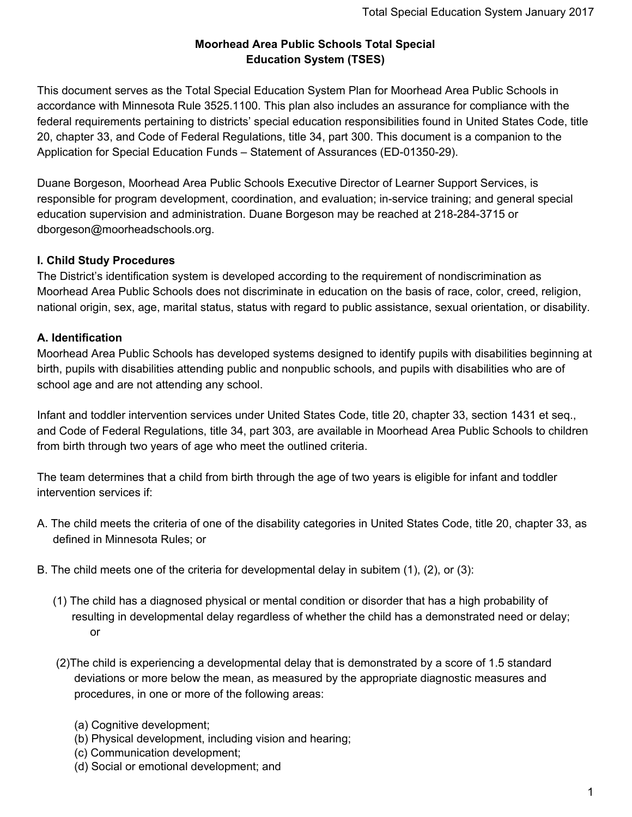## **Moorhead Area Public Schools Total Special Education System (TSES)**

This document serves as the Total Special Education System Plan for Moorhead Area Public Schools in accordance with Minnesota Rule 3525.1100. This plan also includes an assurance for compliance with the federal requirements pertaining to districts' special education responsibilities found in United States Code, title 20, chapter 33, and Code of Federal Regulations, title 34, part 300. This document is a companion to the Application for Special Education Funds – Statement of Assurances (ED-01350-29).

Duane Borgeson, Moorhead Area Public Schools Executive Director of Learner Support Services, is responsible for program development, coordination, and evaluation; in-service training; and general special education supervision and administration. Duane Borgeson may be reached at 218-284-3715 or dborgeson@moorheadschools.org.

## **I. Child Study Procedures**

The District's identification system is developed according to the requirement of nondiscrimination as Moorhead Area Public Schools does not discriminate in education on the basis of race, color, creed, religion, national origin, sex, age, marital status, status with regard to public assistance, sexual orientation, or disability.

# **A. Identification**

Moorhead Area Public Schools has developed systems designed to identify pupils with disabilities beginning at birth, pupils with disabilities attending public and nonpublic schools, and pupils with disabilities who are of school age and are not attending any school.

Infant and toddler intervention services under United States Code, title 20, chapter 33, section 1431 et seq., and Code of Federal Regulations, title 34, part 303, are available in Moorhead Area Public Schools to children from birth through two years of age who meet the outlined criteria.

The team determines that a child from birth through the age of two years is eligible for infant and toddler intervention services if:

- A. The child meets the criteria of one of the disability categories in United States Code, title 20, chapter 33, as defined in Minnesota Rules; or
- B. The child meets one of the criteria for developmental delay in subitem (1), (2), or (3):
	- (1) The child has a diagnosed physical or mental condition or disorder that has a high probability of resulting in developmental delay regardless of whether the child has a demonstrated need or delay; or
	- (2)The child is experiencing a developmental delay that is demonstrated by a score of 1.5 standard deviations or more below the mean, as measured by the appropriate diagnostic measures and procedures, in one or more of the following areas:
		- (a) Cognitive development;
		- (b) Physical development, including vision and hearing;
		- (c) Communication development;
		- (d) Social or emotional development; and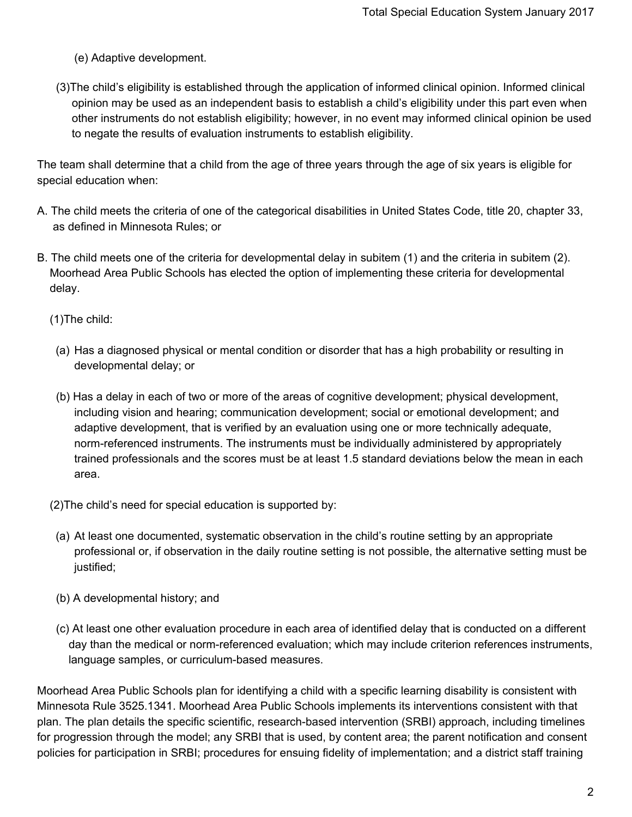- (e) Adaptive development.
- (3)The child's eligibility is established through the application of informed clinical opinion. Informed clinical opinion may be used as an independent basis to establish a child's eligibility under this part even when other instruments do not establish eligibility; however, in no event may informed clinical opinion be used to negate the results of evaluation instruments to establish eligibility.

The team shall determine that a child from the age of three years through the age of six years is eligible for special education when:

- A. The child meets the criteria of one of the categorical disabilities in United States Code, title 20, chapter 33, as defined in Minnesota Rules; or
- B. The child meets one of the criteria for developmental delay in subitem (1) and the criteria in subitem (2). Moorhead Area Public Schools has elected the option of implementing these criteria for developmental delay.

(1)The child:

- (a) Has a diagnosed physical or mental condition or disorder that has a high probability or resulting in developmental delay; or
- (b) Has a delay in each of two or more of the areas of cognitive development; physical development, including vision and hearing; communication development; social or emotional development; and adaptive development, that is verified by an evaluation using one or more technically adequate, norm-referenced instruments. The instruments must be individually administered by appropriately trained professionals and the scores must be at least 1.5 standard deviations below the mean in each area.
- (2)The child's need for special education is supported by:
- (a) At least one documented, systematic observation in the child's routine setting by an appropriate professional or, if observation in the daily routine setting is not possible, the alternative setting must be justified;
- (b) A developmental history; and
- (c) At least one other evaluation procedure in each area of identified delay that is conducted on a different day than the medical or norm-referenced evaluation; which may include criterion references instruments, language samples, or curriculum-based measures.

Moorhead Area Public Schools plan for identifying a child with a specific learning disability is consistent with Minnesota Rule 3525.1341. Moorhead Area Public Schools implements its interventions consistent with that plan. The plan details the specific scientific, research-based intervention (SRBI) approach, including timelines for progression through the model; any SRBI that is used, by content area; the parent notification and consent policies for participation in SRBI; procedures for ensuing fidelity of implementation; and a district staff training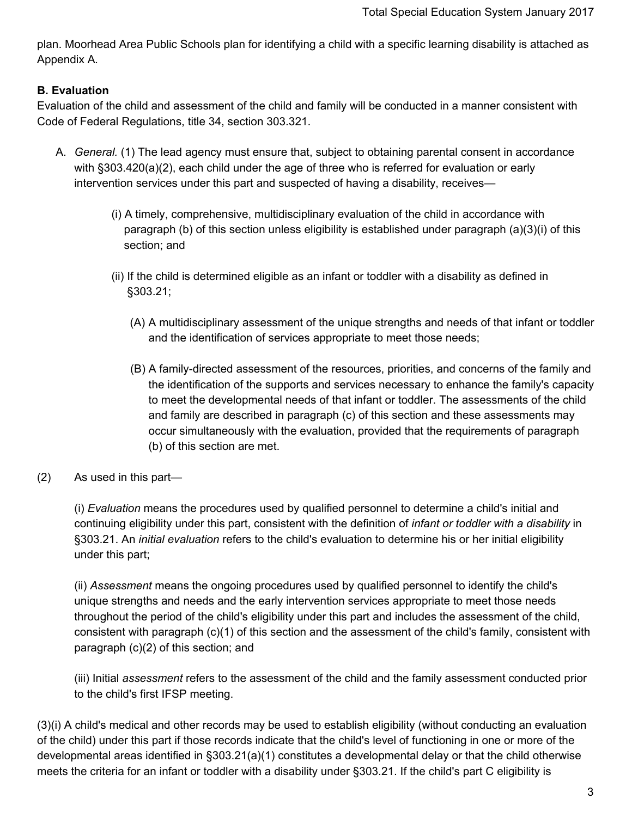plan. Moorhead Area Public Schools plan for identifying a child with a specific learning disability is attached as Appendix A*.*

## **B. Evaluation**

Evaluation of the child and assessment of the child and family will be conducted in a manner consistent with Code of Federal Regulations, title 34, section 303.321.

- A. *General.* (1) The lead agency must ensure that, subject to obtaining parental consent in accordance with §303.420(a)(2), each child under the age of three who is referred for evaluation or early intervention services under this part and suspected of having a disability, receives—
	- (i) A timely, comprehensive, multidisciplinary evaluation of the child in accordance with paragraph (b) of this section unless eligibility is established under paragraph (a)(3)(i) of this section; and
	- (ii) If the child is determined eligible as an infant or toddler with a disability as defined in §303.21;
		- (A) A multidisciplinary assessment of the unique strengths and needs of that infant or toddler and the identification of services appropriate to meet those needs;
		- (B) A family-directed assessment of the resources, priorities, and concerns of the family and the identification of the supports and services necessary to enhance the family's capacity to meet the developmental needs of that infant or toddler. The assessments of the child and family are described in paragraph (c) of this section and these assessments may occur simultaneously with the evaluation, provided that the requirements of paragraph (b) of this section are met.
- (2) As used in this part—

(i) *Evaluation* means the procedures used by qualified personnel to determine a child's initial and continuing eligibility under this part, consistent with the definition of *infant or toddler with a disability* in §303.21. An *initial evaluation* refers to the child's evaluation to determine his or her initial eligibility under this part;

(ii) *Assessment* means the ongoing procedures used by qualified personnel to identify the child's unique strengths and needs and the early intervention services appropriate to meet those needs throughout the period of the child's eligibility under this part and includes the assessment of the child, consistent with paragraph (c)(1) of this section and the assessment of the child's family, consistent with paragraph (c)(2) of this section; and

(iii) Initial *assessment* refers to the assessment of the child and the family assessment conducted prior to the child's first IFSP meeting.

(3)(i) A child's medical and other records may be used to establish eligibility (without conducting an evaluation of the child) under this part if those records indicate that the child's level of functioning in one or more of the developmental areas identified in §303.21(a)(1) constitutes a developmental delay or that the child otherwise meets the criteria for an infant or toddler with a disability under §303.21. If the child's part C eligibility is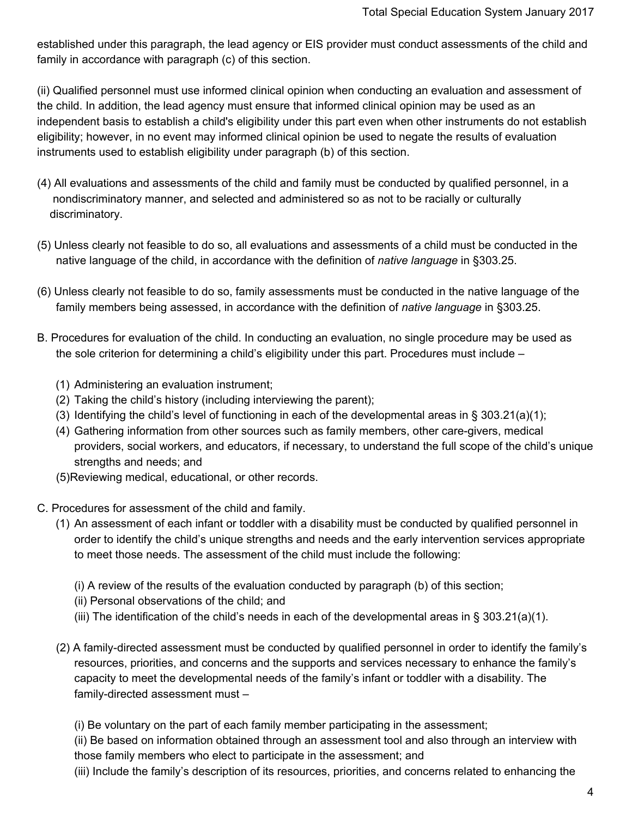established under this paragraph, the lead agency or EIS provider must conduct assessments of the child and family in accordance with paragraph (c) of this section.

(ii) Qualified personnel must use informed clinical opinion when conducting an evaluation and assessment of the child. In addition, the lead agency must ensure that informed clinical opinion may be used as an independent basis to establish a child's eligibility under this part even when other instruments do not establish eligibility; however, in no event may informed clinical opinion be used to negate the results of evaluation instruments used to establish eligibility under paragraph (b) of this section.

- (4) All evaluations and assessments of the child and family must be conducted by qualified personnel, in a nondiscriminatory manner, and selected and administered so as not to be racially or culturally discriminatory.
- (5) Unless clearly not feasible to do so, all evaluations and assessments of a child must be conducted in the native language of the child, in accordance with the definition of *native language* in §303.25.
- (6) Unless clearly not feasible to do so, family assessments must be conducted in the native language of the family members being assessed, in accordance with the definition of *native language* in §303.25.
- B. Procedures for evaluation of the child. In conducting an evaluation, no single procedure may be used as the sole criterion for determining a child's eligibility under this part. Procedures must include –
	- (1) Administering an evaluation instrument;
	- (2) Taking the child's history (including interviewing the parent);
	- (3) Identifying the child's level of functioning in each of the developmental areas in § 303.21(a)(1);
	- (4) Gathering information from other sources such as family members, other care-givers, medical providers, social workers, and educators, if necessary, to understand the full scope of the child's unique strengths and needs; and
	- (5)Reviewing medical, educational, or other records.
- C. Procedures for assessment of the child and family.
	- (1) An assessment of each infant or toddler with a disability must be conducted by qualified personnel in order to identify the child's unique strengths and needs and the early intervention services appropriate to meet those needs. The assessment of the child must include the following:
		- (i) A review of the results of the evaluation conducted by paragraph (b) of this section;
		- (ii) Personal observations of the child; and
		- (iii) The identification of the child's needs in each of the developmental areas in  $\S 303.21(a)(1)$ .
	- (2) A family-directed assessment must be conducted by qualified personnel in order to identify the family's resources, priorities, and concerns and the supports and services necessary to enhance the family's capacity to meet the developmental needs of the family's infant or toddler with a disability. The family-directed assessment must –
		- (i) Be voluntary on the part of each family member participating in the assessment;

(ii) Be based on information obtained through an assessment tool and also through an interview with those family members who elect to participate in the assessment; and

(iii) Include the family's description of its resources, priorities, and concerns related to enhancing the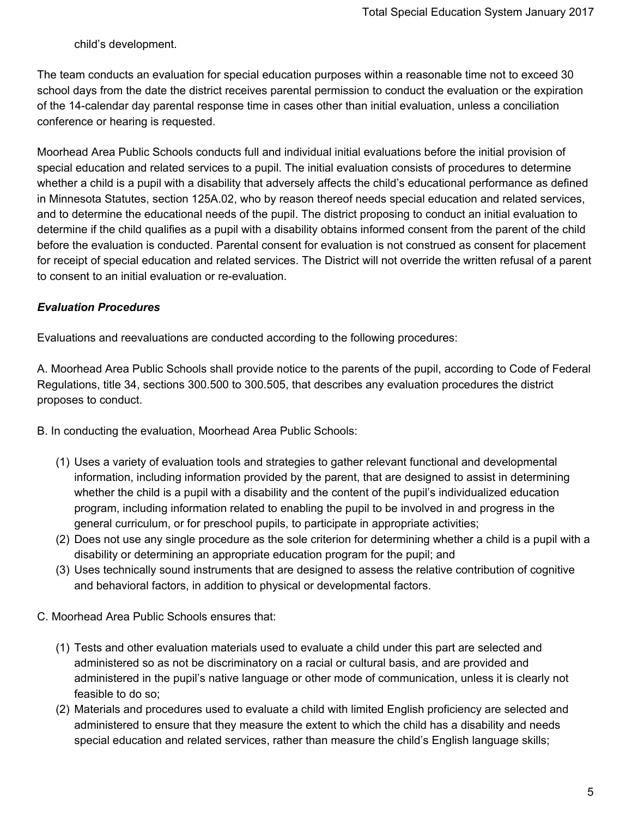child's development.

The team conducts an evaluation for special education purposes within a reasonable time not to exceed 30 school days from the date the district receives parental permission to conduct the evaluation or the expiration of the 14-calendar day parental response time in cases other than initial evaluation, unless a conciliation conference or hearing is requested.

Moorhead Area Public Schools conducts full and individual initial evaluations before the initial provision of special education and related services to a pupil. The initial evaluation consists of procedures to determine whether a child is a pupil with a disability that adversely affects the child's educational performance as defined in Minnesota Statutes, section 125A.02, who by reason thereof needs special education and related services, and to determine the educational needs of the pupil. The district proposing to conduct an initial evaluation to determine if the child qualifies as a pupil with a disability obtains informed consent from the parent of the child before the evaluation is conducted. Parental consent for evaluation is not construed as consent for placement for receipt of special education and related services. The District will not override the written refusal of a parent to consent to an initial evaluation or re-evaluation.

## *Evaluation Procedures*

Evaluations and reevaluations are conducted according to the following procedures:

A. Moorhead Area Public Schools shall provide notice to the parents of the pupil, according to Code of Federal Regulations, title 34, sections 300.500 to 300.505, that describes any evaluation procedures the district proposes to conduct.

B. In conducting the evaluation, Moorhead Area Public Schools:

- (1) Uses a variety of evaluation tools and strategies to gather relevant functional and developmental information, including information provided by the parent, that are designed to assist in determining whether the child is a pupil with a disability and the content of the pupil's individualized education program, including information related to enabling the pupil to be involved in and progress in the general curriculum, or for preschool pupils, to participate in appropriate activities;
- (2) Does not use any single procedure as the sole criterion for determining whether a child is a pupil with a disability or determining an appropriate education program for the pupil; and
- (3) Uses technically sound instruments that are designed to assess the relative contribution of cognitive and behavioral factors, in addition to physical or developmental factors.
- C. Moorhead Area Public Schools ensures that:
	- (1) Tests and other evaluation materials used to evaluate a child under this part are selected and administered so as not be discriminatory on a racial or cultural basis, and are provided and administered in the pupil's native language or other mode of communication, unless it is clearly not feasible to do so;
	- (2) Materials and procedures used to evaluate a child with limited English proficiency are selected and administered to ensure that they measure the extent to which the child has a disability and needs special education and related services, rather than measure the child's English language skills;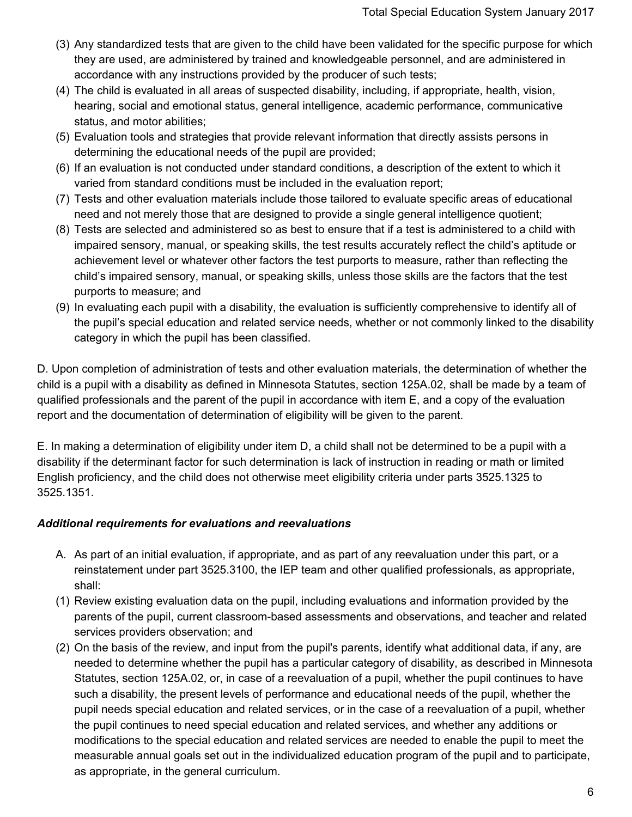- (3) Any standardized tests that are given to the child have been validated for the specific purpose for which they are used, are administered by trained and knowledgeable personnel, and are administered in accordance with any instructions provided by the producer of such tests;
- (4) The child is evaluated in all areas of suspected disability, including, if appropriate, health, vision, hearing, social and emotional status, general intelligence, academic performance, communicative status, and motor abilities;
- (5) Evaluation tools and strategies that provide relevant information that directly assists persons in determining the educational needs of the pupil are provided;
- (6) If an evaluation is not conducted under standard conditions, a description of the extent to which it varied from standard conditions must be included in the evaluation report;
- (7) Tests and other evaluation materials include those tailored to evaluate specific areas of educational need and not merely those that are designed to provide a single general intelligence quotient;
- (8) Tests are selected and administered so as best to ensure that if a test is administered to a child with impaired sensory, manual, or speaking skills, the test results accurately reflect the child's aptitude or achievement level or whatever other factors the test purports to measure, rather than reflecting the child's impaired sensory, manual, or speaking skills, unless those skills are the factors that the test purports to measure; and
- (9) In evaluating each pupil with a disability, the evaluation is sufficiently comprehensive to identify all of the pupil's special education and related service needs, whether or not commonly linked to the disability category in which the pupil has been classified.

D. Upon completion of administration of tests and other evaluation materials, the determination of whether the child is a pupil with a disability as defined in Minnesota Statutes, section 125A.02, shall be made by a team of qualified professionals and the parent of the pupil in accordance with item E, and a copy of the evaluation report and the documentation of determination of eligibility will be given to the parent.

E. In making a determination of eligibility under item D, a child shall not be determined to be a pupil with a disability if the determinant factor for such determination is lack of instruction in reading or math or limited English proficiency, and the child does not otherwise meet eligibility criteria under parts 3525.1325 to 3525.1351.

# *Additional requirements for evaluations and reevaluations*

- A. As part of an initial evaluation, if appropriate, and as part of any reevaluation under this part, or a reinstatement under part 3525.3100, the IEP team and other qualified professionals, as appropriate, shall:
- (1) Review existing evaluation data on the pupil, including evaluations and information provided by the parents of the pupil, current classroom-based assessments and observations, and teacher and related services providers observation; and
- (2) On the basis of the review, and input from the pupil's parents, identify what additional data, if any, are needed to determine whether the pupil has a particular category of disability, as described in Minnesota Statutes, section 125A.02, or, in case of a reevaluation of a pupil, whether the pupil continues to have such a disability, the present levels of performance and educational needs of the pupil, whether the pupil needs special education and related services, or in the case of a reevaluation of a pupil, whether the pupil continues to need special education and related services, and whether any additions or modifications to the special education and related services are needed to enable the pupil to meet the measurable annual goals set out in the individualized education program of the pupil and to participate, as appropriate, in the general curriculum.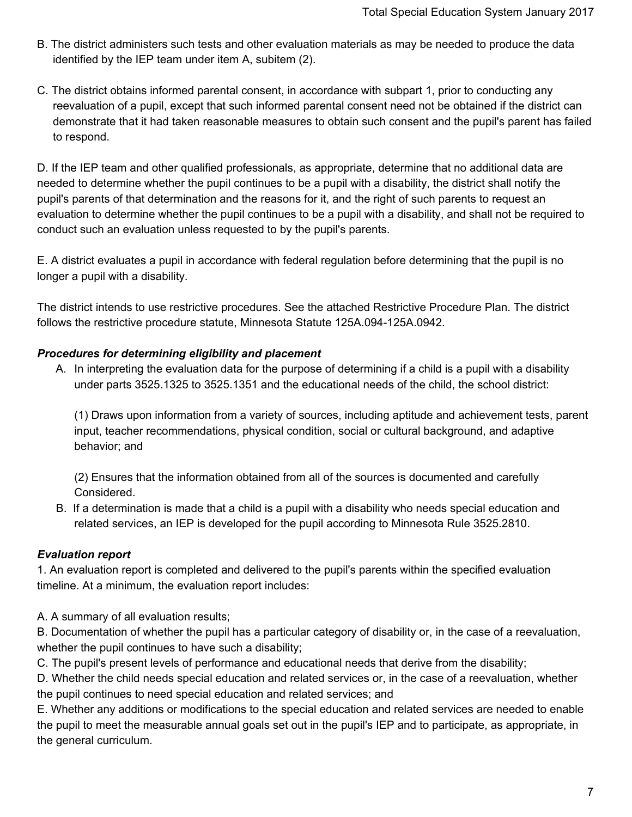- B. The district administers such tests and other evaluation materials as may be needed to produce the data identified by the IEP team under item A, subitem (2).
- C. The district obtains informed parental consent, in accordance with subpart 1, prior to conducting any reevaluation of a pupil, except that such informed parental consent need not be obtained if the district can demonstrate that it had taken reasonable measures to obtain such consent and the pupil's parent has failed to respond.

D. If the IEP team and other qualified professionals, as appropriate, determine that no additional data are needed to determine whether the pupil continues to be a pupil with a disability, the district shall notify the pupil's parents of that determination and the reasons for it, and the right of such parents to request an evaluation to determine whether the pupil continues to be a pupil with a disability, and shall not be required to conduct such an evaluation unless requested to by the pupil's parents.

E. A district evaluates a pupil in accordance with federal regulation before determining that the pupil is no longer a pupil with a disability.

The district intends to use restrictive procedures. See the attached Restrictive Procedure Plan. The district follows the restrictive procedure statute, Minnesota Statute 125A.094-125A.0942.

## *Procedures for determining eligibility and placement*

A. In interpreting the evaluation data for the purpose of determining if a child is a pupil with a disability under parts 3525.1325 to 3525.1351 and the educational needs of the child, the school district:

(1) Draws upon information from a variety of sources, including aptitude and achievement tests, parent input, teacher recommendations, physical condition, social or cultural background, and adaptive behavior; and

(2) Ensures that the information obtained from all of the sources is documented and carefully Considered.

B. If a determination is made that a child is a pupil with a disability who needs special education and related services, an IEP is developed for the pupil according to Minnesota Rule 3525.2810.

# *Evaluation report*

1. An evaluation report is completed and delivered to the pupil's parents within the specified evaluation timeline. At a minimum, the evaluation report includes:

A. A summary of all evaluation results;

B. Documentation of whether the pupil has a particular category of disability or, in the case of a reevaluation, whether the pupil continues to have such a disability;

C. The pupil's present levels of performance and educational needs that derive from the disability;

D. Whether the child needs special education and related services or, in the case of a reevaluation, whether the pupil continues to need special education and related services; and

E. Whether any additions or modifications to the special education and related services are needed to enable the pupil to meet the measurable annual goals set out in the pupil's IEP and to participate, as appropriate, in the general curriculum.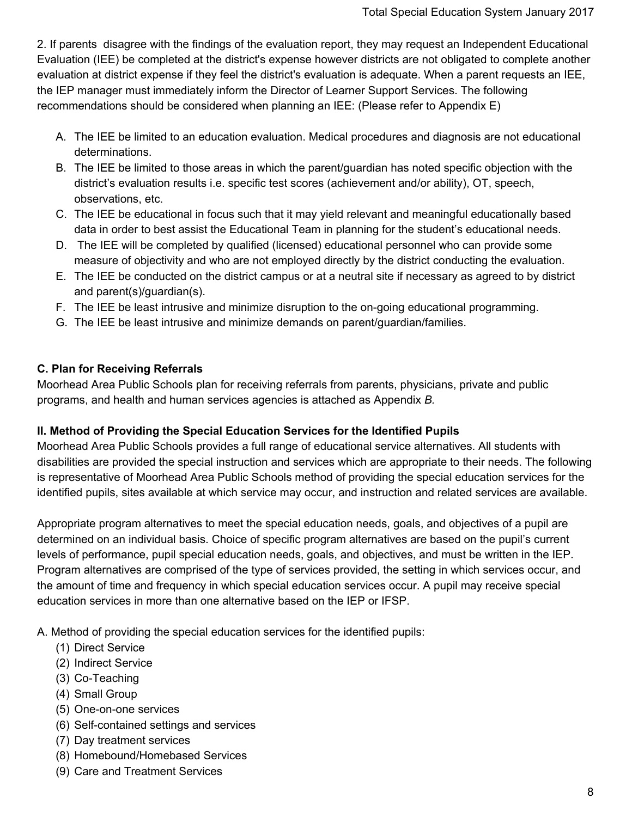2. If parents disagree with the findings of the evaluation report, they may request an Independent Educational Evaluation (IEE) be completed at the district's expense however districts are not obligated to complete another evaluation at district expense if they feel the district's evaluation is adequate. When a parent requests an IEE, the IEP manager must immediately inform the Director of Learner Support Services. The following recommendations should be considered when planning an IEE: (Please refer to Appendix E)

- A. The IEE be limited to an education evaluation. Medical procedures and diagnosis are not educational determinations.
- B. The IEE be limited to those areas in which the parent/guardian has noted specific objection with the district's evaluation results i.e. specific test scores (achievement and/or ability), OT, speech, observations, etc.
- C. The IEE be educational in focus such that it may yield relevant and meaningful educationally based data in order to best assist the Educational Team in planning for the student's educational needs.
- D. The IEE will be completed by qualified (licensed) educational personnel who can provide some measure of objectivity and who are not employed directly by the district conducting the evaluation.
- E. The IEE be conducted on the district campus or at a neutral site if necessary as agreed to by district and parent(s)/guardian(s).
- F. The IEE be least intrusive and minimize disruption to the on-going educational programming.
- G. The IEE be least intrusive and minimize demands on parent/guardian/families.

## **C. Plan for Receiving Referrals**

Moorhead Area Public Schools plan for receiving referrals from parents, physicians, private and public programs, and health and human services agencies is attached as Appendix *B.*

## **II. Method of Providing the Special Education Services for the Identified Pupils**

Moorhead Area Public Schools provides a full range of educational service alternatives. All students with disabilities are provided the special instruction and services which are appropriate to their needs. The following is representative of Moorhead Area Public Schools method of providing the special education services for the identified pupils, sites available at which service may occur, and instruction and related services are available.

Appropriate program alternatives to meet the special education needs, goals, and objectives of a pupil are determined on an individual basis. Choice of specific program alternatives are based on the pupil's current levels of performance, pupil special education needs, goals, and objectives, and must be written in the IEP. Program alternatives are comprised of the type of services provided, the setting in which services occur, and the amount of time and frequency in which special education services occur. A pupil may receive special education services in more than one alternative based on the IEP or IFSP.

A. Method of providing the special education services for the identified pupils:

- (1) Direct Service
- (2) Indirect Service
- (3) Co-Teaching
- (4) Small Group
- (5) One-on-one services
- (6) Self-contained settings and services
- (7) Day treatment services
- (8) Homebound/Homebased Services
- (9) Care and Treatment Services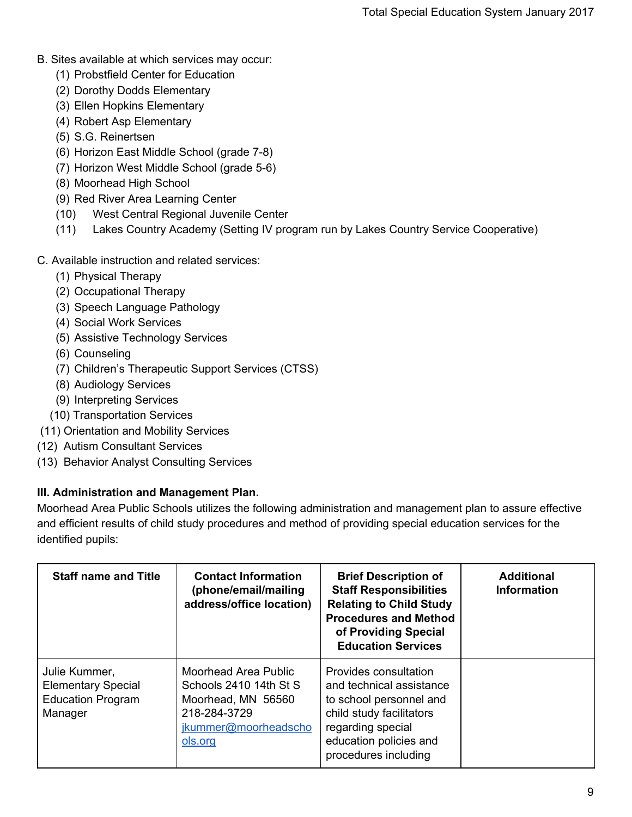- B. Sites available at which services may occur:
	- (1) Probstfield Center for Education
	- (2) Dorothy Dodds Elementary
	- (3) Ellen Hopkins Elementary
	- (4) Robert Asp Elementary
	- (5) S.G. Reinertsen
	- (6) Horizon East Middle School (grade 7-8)
	- (7) Horizon West Middle School (grade 5-6)
	- (8) Moorhead High School
	- (9) Red River Area Learning Center
	- (10) West Central Regional Juvenile Center
	- (11) Lakes Country Academy (Setting IV program run by Lakes Country Service Cooperative)
- C. Available instruction and related services:
	- (1) Physical Therapy
	- (2) Occupational Therapy
	- (3) Speech Language Pathology
	- (4) Social Work Services
	- (5) Assistive Technology Services
	- (6) Counseling
	- (7) Children's Therapeutic Support Services (CTSS)
	- (8) Audiology Services
	- (9) Interpreting Services
	- (10) Transportation Services
- (11) Orientation and Mobility Services
- (12) Autism Consultant Services
- (13) Behavior Analyst Consulting Services

## **III. Administration and Management Plan.**

Moorhead Area Public Schools utilizes the following administration and management plan to assure effective and efficient results of child study procedures and method of providing special education services for the identified pupils:

| <b>Staff name and Title</b>                                                       | <b>Contact Information</b><br>(phone/email/mailing<br>address/office location)                                                 | <b>Brief Description of</b><br><b>Staff Responsibilities</b><br><b>Relating to Child Study</b><br><b>Procedures and Method</b><br>of Providing Special<br><b>Education Services</b> | <b>Additional</b><br><b>Information</b> |
|-----------------------------------------------------------------------------------|--------------------------------------------------------------------------------------------------------------------------------|-------------------------------------------------------------------------------------------------------------------------------------------------------------------------------------|-----------------------------------------|
| Julie Kummer,<br><b>Elementary Special</b><br><b>Education Program</b><br>Manager | <b>Moorhead Area Public</b><br>Schools 2410 14th St S<br>Moorhead, MN 56560<br>218-284-3729<br>jkummer@moorheadscho<br>ols.org | Provides consultation<br>and technical assistance<br>to school personnel and<br>child study facilitators<br>regarding special<br>education policies and<br>procedures including     |                                         |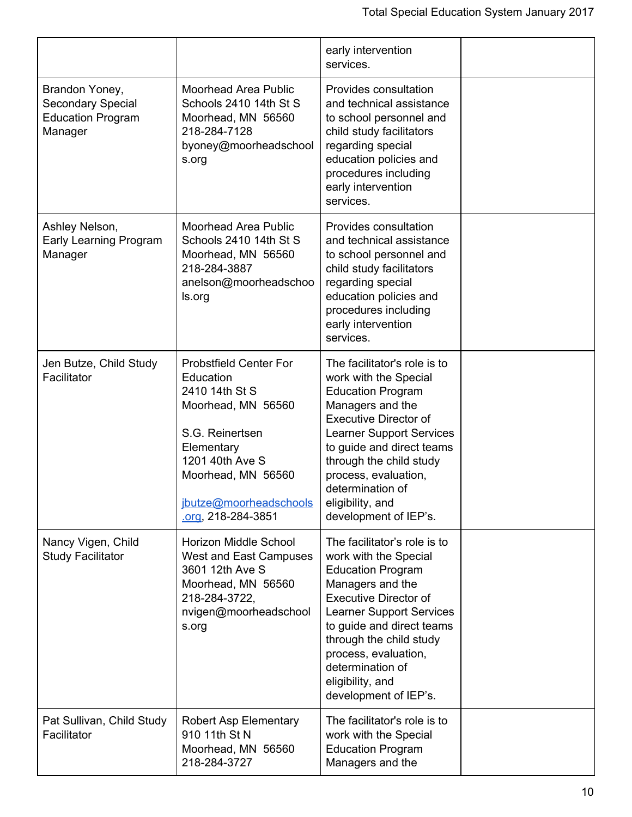|                                                                                   |                                                                                                                                                                                                             | early intervention<br>services.                                                                                                                                                                                                                                                                                           |  |
|-----------------------------------------------------------------------------------|-------------------------------------------------------------------------------------------------------------------------------------------------------------------------------------------------------------|---------------------------------------------------------------------------------------------------------------------------------------------------------------------------------------------------------------------------------------------------------------------------------------------------------------------------|--|
| Brandon Yoney,<br><b>Secondary Special</b><br><b>Education Program</b><br>Manager | <b>Moorhead Area Public</b><br>Schools 2410 14th St S<br>Moorhead, MN 56560<br>218-284-7128<br>byoney@moorheadschool<br>s.org                                                                               | Provides consultation<br>and technical assistance<br>to school personnel and<br>child study facilitators<br>regarding special<br>education policies and<br>procedures including<br>early intervention<br>services.                                                                                                        |  |
| Ashley Nelson,<br><b>Early Learning Program</b><br>Manager                        | <b>Moorhead Area Public</b><br>Schools 2410 14th St S<br>Moorhead, MN 56560<br>218-284-3887<br>anelson@moorheadschoo<br>ls.org                                                                              | Provides consultation<br>and technical assistance<br>to school personnel and<br>child study facilitators<br>regarding special<br>education policies and<br>procedures including<br>early intervention<br>services.                                                                                                        |  |
| Jen Butze, Child Study<br>Facilitator                                             | <b>Probstfield Center For</b><br>Education<br>2410 14th St S<br>Moorhead, MN 56560<br>S.G. Reinertsen<br>Elementary<br>1201 40th Ave S<br>Moorhead, MN 56560<br>jbutze@moorheadschools<br>org, 218-284-3851 | The facilitator's role is to<br>work with the Special<br><b>Education Program</b><br>Managers and the<br><b>Executive Director of</b><br><b>Learner Support Services</b><br>to guide and direct teams<br>through the child study<br>process, evaluation,<br>determination of<br>eligibility, and<br>development of IEP's. |  |
| Nancy Vigen, Child<br><b>Study Facilitator</b>                                    | Horizon Middle School<br>West and East Campuses<br>3601 12th Ave S<br>Moorhead, MN 56560<br>218-284-3722,<br>nvigen@moorheadschool<br>s.org                                                                 | The facilitator's role is to<br>work with the Special<br><b>Education Program</b><br>Managers and the<br><b>Executive Director of</b><br><b>Learner Support Services</b><br>to guide and direct teams<br>through the child study<br>process, evaluation,<br>determination of<br>eligibility, and<br>development of IEP's. |  |
| Pat Sullivan, Child Study<br>Facilitator                                          | <b>Robert Asp Elementary</b><br>910 11th St N<br>Moorhead, MN 56560<br>218-284-3727                                                                                                                         | The facilitator's role is to<br>work with the Special<br><b>Education Program</b><br>Managers and the                                                                                                                                                                                                                     |  |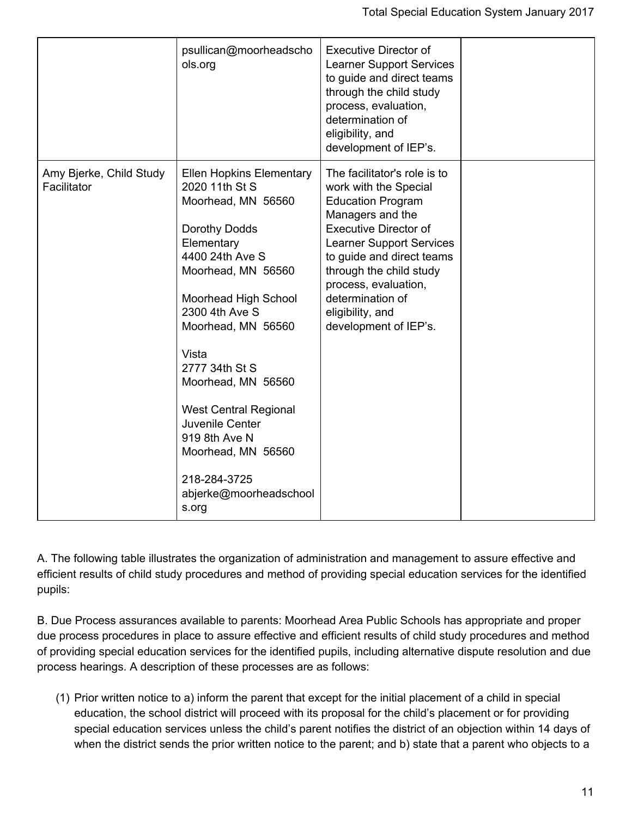|                                        | psullican@moorheadscho<br>ols.org                                                                                                                                                                                                                                                                                                                                                                             | <b>Executive Director of</b><br><b>Learner Support Services</b><br>to guide and direct teams<br>through the child study<br>process, evaluation,<br>determination of<br>eligibility, and<br>development of IEP's.                                                                                                          |  |
|----------------------------------------|---------------------------------------------------------------------------------------------------------------------------------------------------------------------------------------------------------------------------------------------------------------------------------------------------------------------------------------------------------------------------------------------------------------|---------------------------------------------------------------------------------------------------------------------------------------------------------------------------------------------------------------------------------------------------------------------------------------------------------------------------|--|
| Amy Bjerke, Child Study<br>Facilitator | <b>Ellen Hopkins Elementary</b><br>2020 11th St S<br>Moorhead, MN 56560<br>Dorothy Dodds<br>Elementary<br>4400 24th Ave S<br>Moorhead, MN 56560<br>Moorhead High School<br>2300 4th Ave S<br>Moorhead, MN 56560<br>Vista<br>2777 34th St S<br>Moorhead, MN 56560<br><b>West Central Regional</b><br>Juvenile Center<br>919 8th Ave N<br>Moorhead, MN 56560<br>218-284-3725<br>abjerke@moorheadschool<br>s.org | The facilitator's role is to<br>work with the Special<br><b>Education Program</b><br>Managers and the<br><b>Executive Director of</b><br><b>Learner Support Services</b><br>to guide and direct teams<br>through the child study<br>process, evaluation,<br>determination of<br>eligibility, and<br>development of IEP's. |  |

A. The following table illustrates the organization of administration and management to assure effective and efficient results of child study procedures and method of providing special education services for the identified pupils:

B. Due Process assurances available to parents: Moorhead Area Public Schools has appropriate and proper due process procedures in place to assure effective and efficient results of child study procedures and method of providing special education services for the identified pupils, including alternative dispute resolution and due process hearings. A description of these processes are as follows:

(1) Prior written notice to a) inform the parent that except for the initial placement of a child in special education, the school district will proceed with its proposal for the child's placement or for providing special education services unless the child's parent notifies the district of an objection within 14 days of when the district sends the prior written notice to the parent; and b) state that a parent who objects to a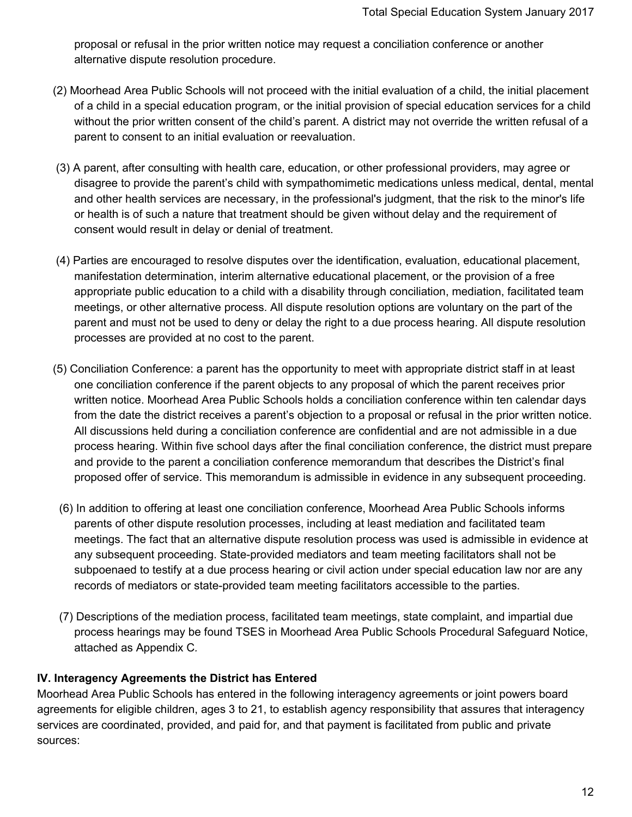proposal or refusal in the prior written notice may request a conciliation conference or another alternative dispute resolution procedure.

- (2) Moorhead Area Public Schools will not proceed with the initial evaluation of a child, the initial placement of a child in a special education program, or the initial provision of special education services for a child without the prior written consent of the child's parent. A district may not override the written refusal of a parent to consent to an initial evaluation or reevaluation.
- (3) A parent, after consulting with health care, education, or other professional providers, may agree or disagree to provide the parent's child with sympathomimetic medications unless medical, dental, mental and other health services are necessary, in the professional's judgment, that the risk to the minor's life or health is of such a nature that treatment should be given without delay and the requirement of consent would result in delay or denial of treatment.
- (4) Parties are encouraged to resolve disputes over the identification, evaluation, educational placement, manifestation determination, interim alternative educational placement, or the provision of a free appropriate public education to a child with a disability through conciliation, mediation, facilitated team meetings, or other alternative process. All dispute resolution options are voluntary on the part of the parent and must not be used to deny or delay the right to a due process hearing. All dispute resolution processes are provided at no cost to the parent.
- (5) Conciliation Conference: a parent has the opportunity to meet with appropriate district staff in at least one conciliation conference if the parent objects to any proposal of which the parent receives prior written notice. Moorhead Area Public Schools holds a conciliation conference within ten calendar days from the date the district receives a parent's objection to a proposal or refusal in the prior written notice. All discussions held during a conciliation conference are confidential and are not admissible in a due process hearing. Within five school days after the final conciliation conference, the district must prepare and provide to the parent a conciliation conference memorandum that describes the District's final proposed offer of service. This memorandum is admissible in evidence in any subsequent proceeding.
- (6) In addition to offering at least one conciliation conference, Moorhead Area Public Schools informs parents of other dispute resolution processes, including at least mediation and facilitated team meetings. The fact that an alternative dispute resolution process was used is admissible in evidence at any subsequent proceeding. State-provided mediators and team meeting facilitators shall not be subpoenaed to testify at a due process hearing or civil action under special education law nor are any records of mediators or state-provided team meeting facilitators accessible to the parties.
- (7) Descriptions of the mediation process, facilitated team meetings, state complaint, and impartial due process hearings may be found TSES in Moorhead Area Public Schools Procedural Safeguard Notice, attached as Appendix C*.*

## **IV. Interagency Agreements the District has Entered**

Moorhead Area Public Schools has entered in the following interagency agreements or joint powers board agreements for eligible children, ages 3 to 21, to establish agency responsibility that assures that interagency services are coordinated, provided, and paid for, and that payment is facilitated from public and private sources: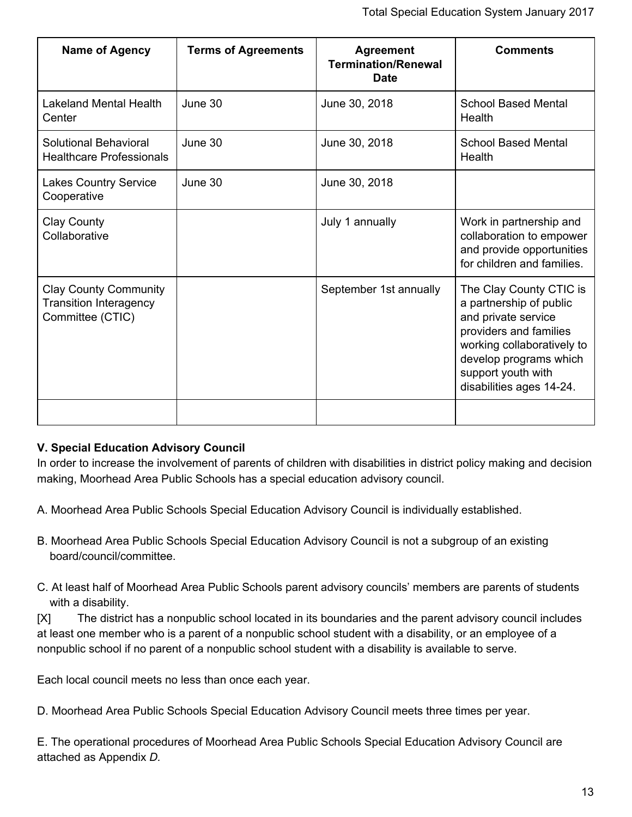| <b>Name of Agency</b>                                                             | <b>Terms of Agreements</b> | <b>Agreement</b><br><b>Termination/Renewal</b><br><b>Date</b> | <b>Comments</b>                                                                                                                                                                                               |
|-----------------------------------------------------------------------------------|----------------------------|---------------------------------------------------------------|---------------------------------------------------------------------------------------------------------------------------------------------------------------------------------------------------------------|
| <b>Lakeland Mental Health</b><br>Center                                           | June 30                    | June 30, 2018                                                 | <b>School Based Mental</b><br>Health                                                                                                                                                                          |
| Solutional Behavioral<br><b>Healthcare Professionals</b>                          | June 30                    | June 30, 2018                                                 | <b>School Based Mental</b><br>Health                                                                                                                                                                          |
| <b>Lakes Country Service</b><br>Cooperative                                       | June 30                    | June 30, 2018                                                 |                                                                                                                                                                                                               |
| Clay County<br>Collaborative                                                      |                            | July 1 annually                                               | Work in partnership and<br>collaboration to empower<br>and provide opportunities<br>for children and families.                                                                                                |
| <b>Clay County Community</b><br><b>Transition Interagency</b><br>Committee (CTIC) |                            | September 1st annually                                        | The Clay County CTIC is<br>a partnership of public<br>and private service<br>providers and families<br>working collaboratively to<br>develop programs which<br>support youth with<br>disabilities ages 14-24. |
|                                                                                   |                            |                                                               |                                                                                                                                                                                                               |

# **V. Special Education Advisory Council**

In order to increase the involvement of parents of children with disabilities in district policy making and decision making, Moorhead Area Public Schools has a special education advisory council.

A. Moorhead Area Public Schools Special Education Advisory Council is individually established.

- B. Moorhead Area Public Schools Special Education Advisory Council is not a subgroup of an existing board/council/committee.
- C. At least half of Moorhead Area Public Schools parent advisory councils' members are parents of students with a disability.

[X] The district has a nonpublic school located in its boundaries and the parent advisory council includes at least one member who is a parent of a nonpublic school student with a disability, or an employee of a nonpublic school if no parent of a nonpublic school student with a disability is available to serve.

Each local council meets no less than once each year.

D. Moorhead Area Public Schools Special Education Advisory Council meets three times per year.

E. The operational procedures of Moorhead Area Public Schools Special Education Advisory Council are attached as Appendix *D.*